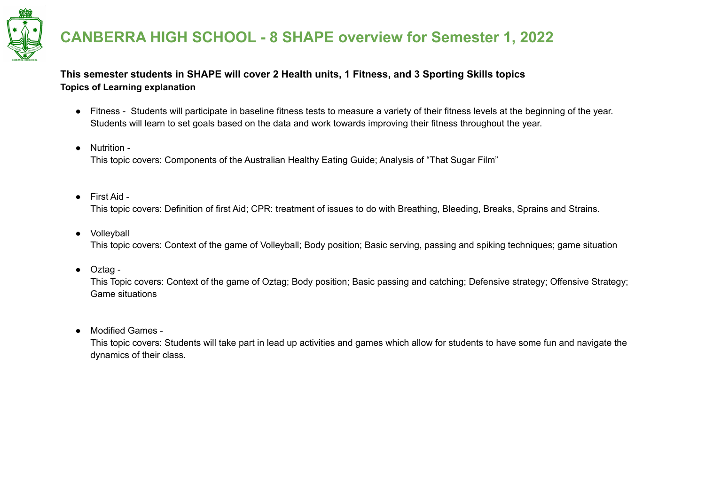

### **This semester students in SHAPE will cover 2 Health units, 1 Fitness, and 3 Sporting Skills topics Topics of Learning explanation**

- Fitness Students will participate in baseline fitness tests to measure a variety of their fitness levels at the beginning of the year. Students will learn to set goals based on the data and work towards improving their fitness throughout the year.
- Nutrition This topic covers: Components of the Australian Healthy Eating Guide; Analysis of "That Sugar Film"
- First Aid -

This topic covers: Definition of first Aid; CPR: treatment of issues to do with Breathing, Bleeding, Breaks, Sprains and Strains.

● Volleyball

This topic covers: Context of the game of Volleyball; Body position; Basic serving, passing and spiking techniques; game situation

● Oztag -

This Topic covers: Context of the game of Oztag; Body position; Basic passing and catching; Defensive strategy; Offensive Strategy; Game situations

● Modified Games -

This topic covers: Students will take part in lead up activities and games which allow for students to have some fun and navigate the dynamics of their class.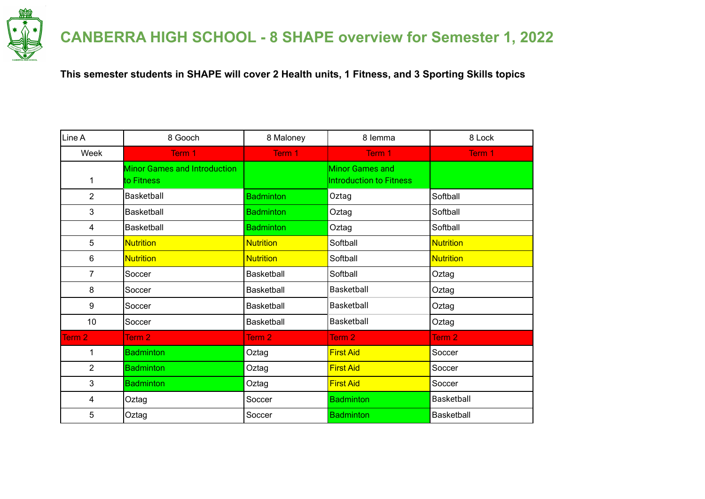

**This semester students in SHAPE will cover 2 Health units, 1 Fitness, and 3 Sporting Skills topics**

| Line A         | 8 Gooch                                           | 8 Maloney         | 8 lemma                                                  | 8 Lock            |
|----------------|---------------------------------------------------|-------------------|----------------------------------------------------------|-------------------|
| Week           | Term 1                                            | Term 1            | Term 1                                                   | Term 1            |
| 1              | <b>Minor Games and Introduction</b><br>to Fitness |                   | <b>Minor Games and</b><br><b>Introduction to Fitness</b> |                   |
| $\overline{2}$ | Basketball                                        | <b>Badminton</b>  | Oztag                                                    | Softball          |
| 3              | Basketball                                        | <b>Badminton</b>  | Oztag                                                    | Softball          |
| 4              | Basketball                                        | <b>Badminton</b>  | Oztag                                                    | Softball          |
| 5              | <b>Nutrition</b>                                  | <b>Nutrition</b>  | Softball                                                 | <b>Nutrition</b>  |
| 6              | <b>Nutrition</b>                                  | <b>Nutrition</b>  | Softball                                                 | <b>Nutrition</b>  |
| 7              | Soccer                                            | <b>Basketball</b> | Softball                                                 | Oztag             |
| 8              | Soccer                                            | <b>Basketball</b> | Basketball                                               | Oztag             |
| 9              | Soccer                                            | <b>Basketball</b> | Basketball                                               | Oztag             |
| 10             | Soccer                                            | <b>Basketball</b> | Basketball                                               | Oztag             |
| Term 2         | Term <sub>2</sub>                                 | Term <sub>2</sub> | Term <sub>2</sub>                                        | Term <sub>2</sub> |
| 1              | <b>Badminton</b>                                  | Oztag             | <b>First Aid</b>                                         | Soccer            |
| $\overline{2}$ | <b>Badminton</b>                                  | Oztag             | <b>First Aid</b>                                         | Soccer            |
| 3              | <b>Badminton</b>                                  | Oztag             | <b>First Aid</b>                                         | Soccer            |
| 4              | Oztag                                             | Soccer            | <b>Badminton</b>                                         | <b>Basketball</b> |
| 5              | Oztag                                             | Soccer            | <b>Badminton</b>                                         | Basketball        |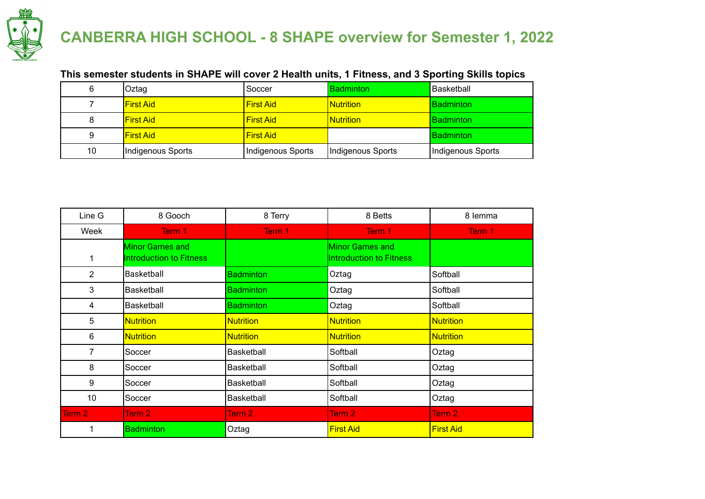

### **This semester students in SHAPE will cover 2 Health units, 1 Fitness, and 3 Sporting Skills topics**

| 6  | Oztag             | Soccer            | <b>Badminton</b>  | Basketball        |
|----|-------------------|-------------------|-------------------|-------------------|
|    | <b>IFirst Aid</b> | <b>First Aid</b>  | <b>Nutrition</b>  | <b>Badminton</b>  |
| 8  | <b>IFirst Aid</b> | <b>First Aid</b>  | <b>Nutrition</b>  | <b>Badminton</b>  |
| 9  | <b>IFirst Aid</b> | <b>First Aid</b>  |                   | <b>Badminton</b>  |
| 10 | Indigenous Sports | Indigenous Sports | Indigenous Sports | Indigenous Sports |

| Line G         | 8 Gooch                                           | 8 Terry           | 8 Betts                                    | 8 lemma          |
|----------------|---------------------------------------------------|-------------------|--------------------------------------------|------------------|
| Week           | Term 1                                            | Term 1            | Term 1                                     | Term 1           |
|                | <b>Minor Games and</b><br>Introduction to Fitness |                   | Minor Games and<br>Introduction to Fitness |                  |
| $\overline{2}$ | <b>Basketball</b>                                 | <b>Badminton</b>  | Oztag                                      | Softball         |
| 3              | Basketball                                        | <b>Badminton</b>  | Oztag                                      | Softball         |
| 4              | Basketball                                        | <b>Badminton</b>  | Oztag                                      | Softball         |
| 5              | <b>Nutrition</b>                                  | <b>Nutrition</b>  | <b>Nutrition</b>                           | <b>Nutrition</b> |
| 6              | <b>Nutrition</b>                                  | <b>Nutrition</b>  | <b>Nutrition</b>                           | <b>Nutrition</b> |
| 7              | Soccer                                            | <b>Basketball</b> | Softball                                   | Oztag            |
| 8              | Soccer                                            | <b>Basketball</b> | Softball                                   | Oztag            |
| 9              | Soccer                                            | <b>Basketball</b> | Softball                                   | Oztag            |
| 10             | Soccer                                            | <b>Basketball</b> | Softball                                   | Oztag            |
| Term 2         | Term <sub>2</sub>                                 | Term 2            | Term <sub>2</sub>                          | Term 2           |
|                | <b>Badminton</b>                                  | Oztag             | <b>First Aid</b>                           | <b>First Aid</b> |